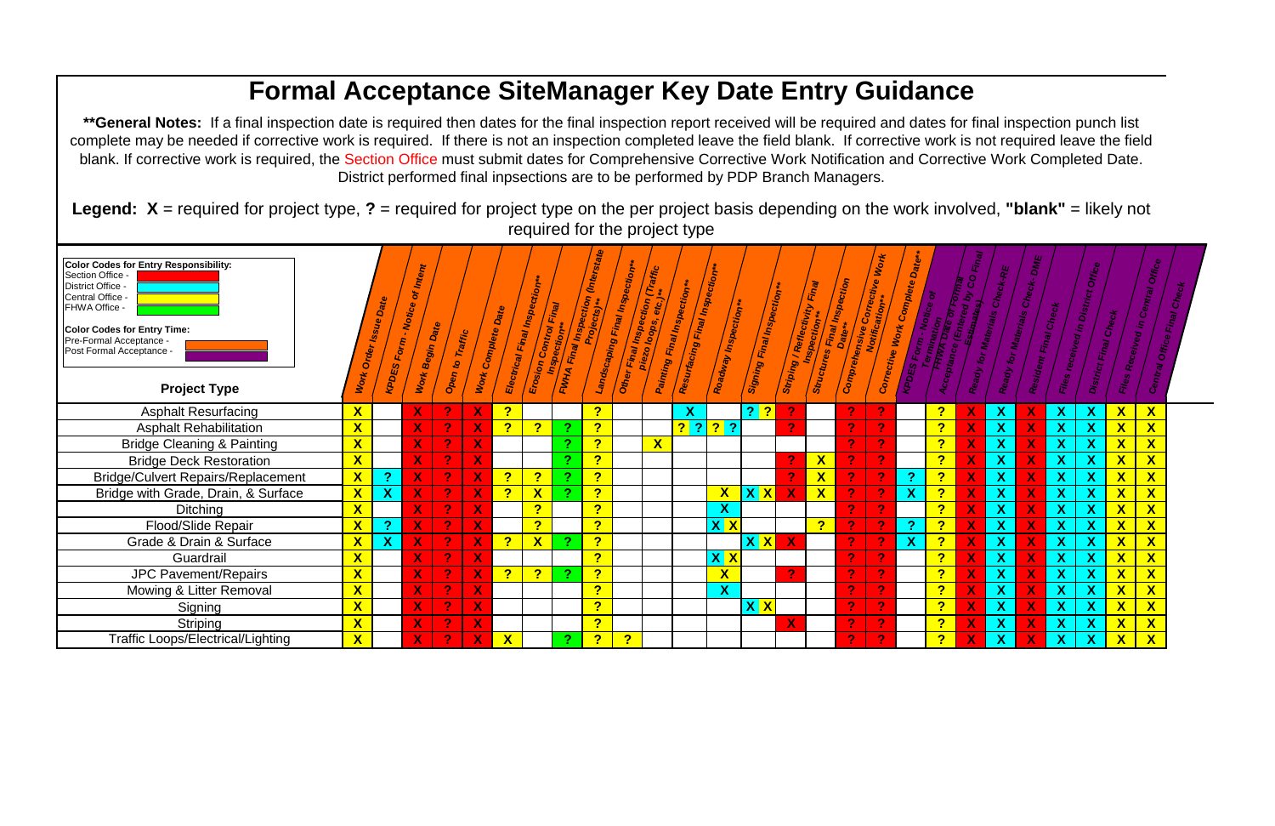## **Formal Acceptance SiteManager Key Date Entry Guidance** \*\*General Notes: If a final inspection date is required then dates for the final inspection report received will be required and dates for final inspection punch list complete may be needed if corrective work is required. If there is not an inspection completed leave the field blank. If corrective work is not required leave the field blank. If corrective work is required, the Section Office must submit dates for Comprehensive Corrective Work Notification and Corrective Work Completed Date. District performed final inpsections are to be performed by PDP Branch Managers. Legend:  $X =$  required for project type,  $? =$  required for project type on the per project basis depending on the work involved, "blank" = likely not required for the project type Color Codes for Entry Responsibility: Intent Resurfacing Final Inspection Section Office Painting Final Inspection \*\* Landscaping Final Inspection Final Inspection Striping / Reflectivity Final Complete District Office -Signing Final Inspection\*\* **KPDES Form - Notice of I** Other Final Inspection ( Central Office Electrical Final Inspecti Erosion Control Final Work Complete Date Roadway Inspection\* **Comprehensive Corre Dat** FHWA Office -Begin Date Corrective Work **Color Codes for Entry Time:** Work Order Iss Pre-Formal Acceptance -FWHA Final **Structures** Post Formal Acceptance Open to **VOTK Project Type Asphalt Resurfacing**  $\overline{?}$  $\overline{?}$  $\mathbf{X}$  $\overline{?}$  $\mathbf{X}$  $\bullet$ <mark>? ?</mark> X  $\overline{?}$  $\overline{?}$  $?$  ? ? ? **Asphalt Rehabilitation**  $\mathbf{X}$  $\overline{?}$  $\overline{\mathbf{z}}$  $\overline{?}$  $\overline{2}$  $\overline{\mathbf{X}}$  $\overline{2}$  $\mathbf x$  $\mathbf x$  $\overline{?}$  $\overline{?}$ **Bridge Cleaning & Painting**  $\mathbf{X}$  $\overline{2}$  $\mathbf{X}$  $\boldsymbol{\mathsf{X}}$  $\boldsymbol{\mathsf{X}}$ X <mark>?</mark>  $\overline{\mathbf{r}}$ **Bridge Deck Restoration**  $\mathbf{X}$  $\boldsymbol{\gamma}$  $\mathbf{X}$  $\boldsymbol{P}$ X  $\overline{2}$  $\overline{?}$  $\mathbf{X}$  $\overline{?}$ **Bridge/Culvert Repairs/Replacement**  $\mathbf{X}$  $\overline{?}$  $\overline{?}$ <u>?</u> -?  $\boldsymbol{\mathsf{x}}$  $\boldsymbol{\mathsf{x}}$ X Bridge with Grade, Drain, & Surface <mark>?</mark>  $\mathbf{X}$  $\mathbf{X}$  $\overline{?}$  $\mathbf{X}$  $\overline{?}$  $\mathbf{X}$  $\overline{2}$  $\mathbf{X}$ **XX**  $\boldsymbol{X}$  $\boldsymbol{\mathsf{X}}$  $\overline{?}$  $\mathbf{X}$  $\overline{?}$ **Ditching** <u>?</u>  $\mathbf{X}$ Flood/Slide Repair  $\overline{\mathbf{X}}$  $\overline{?}$  $\overline{?}$  $\overline{\mathsf{X}^{\top} \mathsf{X}}$  $\overline{?}$  $\overline{?}$  $\overline{?}$ -?  $\overline{?}$ Grade & Drain & Surface  $\overline{\mathbf{X}}$  $\mathbf x$  $\overline{?}$  $\mathbf{X}$  $X$   $X$  $\overline{?}$  $\overline{2}$  $\overline{\mathbf{X}}$  $\overline{?}$  $\overline{\mathsf{X}}$   $\overline{\mathsf{X}}$  $\overline{?}$ Guardrail  $\overline{2}$  $\overline{?}$ **JPC Pavement/Repairs**  $\overline{\mathbf{X}}$  $\overline{?}$  $\overline{?}$  $\overline{?}$  $\mathbf{X}$ ാ  $\overline{?}$ Mowing & Litter Removal  $\overline{\mathbf{X}}$  $\overline{?}$  $\boldsymbol{X}$  $\overline{?}$  $\overline{2}$  $\boldsymbol{P}$  $\boldsymbol{\mathsf{X}}$ 2  $\overline{?}$  $\overline{?}$  $\mathbf{X}$ Signing  $\boldsymbol{\mathsf{X}}$   $\boldsymbol{\mathsf{X}}$ 2 ာ  $\mathcal{P}$  $\mathbf{X}$  $\overline{?}$ **Striping**  $\boldsymbol{\mathsf{X}}$  $\overline{P}$  $\overline{?}$ -2 2 Χ **Traffic Loops/Electrical/Lighting**  $\overline{\mathbf{X}}$  $\mathbf{X}$  $\overline{?}$  $\overline{?}$  $\overline{\mathbf{r}}$

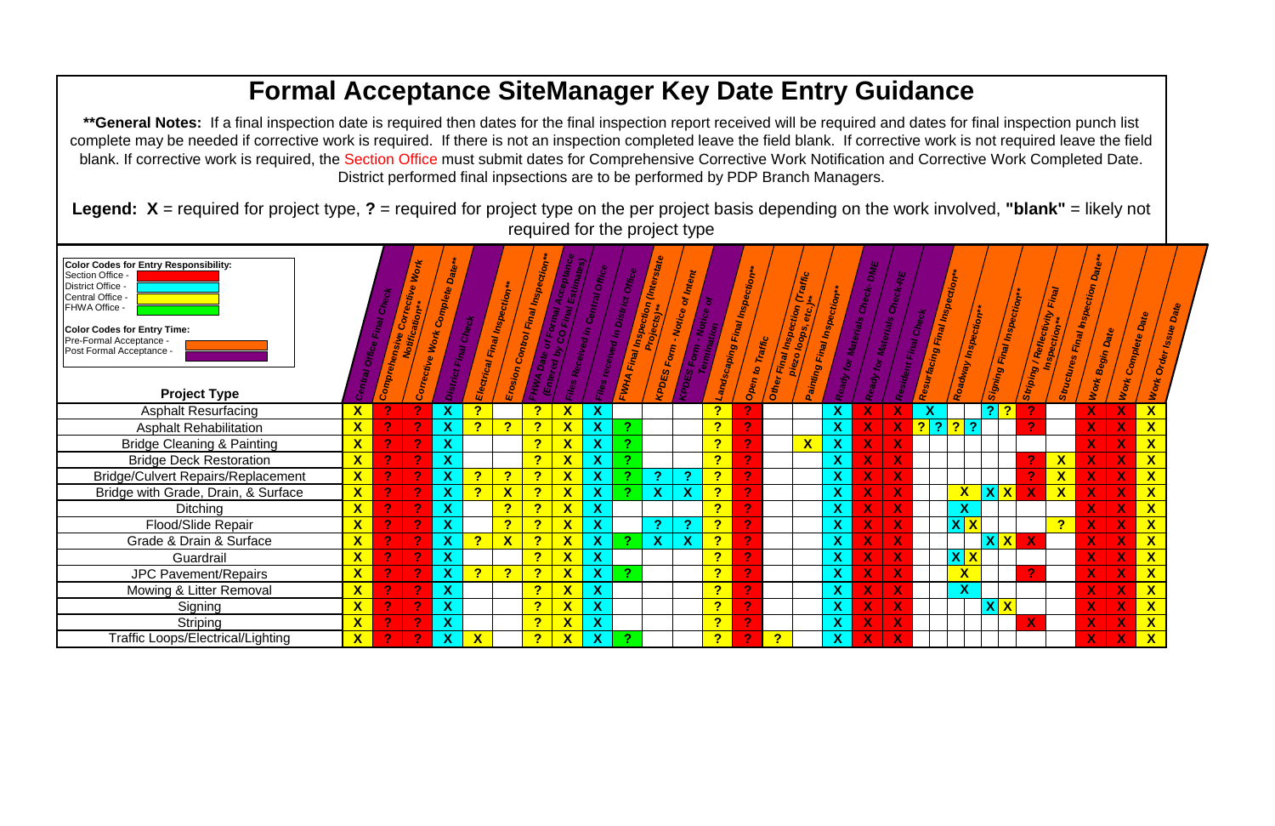## **Formal Acceptance SiteManager Key Date Entry Guidance** \*\*General Notes: If a final inspection date is required then dates for the final inspection report received will be required and dates for final inspection punch list complete may be needed if corrective work is required. If there is not an inspection completed leave the field blank. If corrective work is not required leave the field blank. If corrective work is required, the Section Office must submit dates for Comprehensive Corrective Work Notification and Corrective Work Completed Date. District performed final inpsections are to be performed by PDP Branch Managers. Legend:  $X =$  required for project type,  $? =$  required for project type on the per project basis depending on the work involved, "blank" = likely not required for the project type **Color Codes for Entry Responsibility:** Section Office KPDES Form - Notice of Inten trosion Control Final Inspec les Received in Central Off i<sup>v</sup>ed in District Off Electrical Final Inspection\*\* District Office -Landscaping Final Inspecti Painting Final Inspection Central Office ady for Materials Che r Final Inspection ( FHWA Office facing Final Ins for Materials 320 loops, ident Final Che **Color Codes for Entry Time:** Open to Traffic Pre-Formal Acceptance -Corrective Wo **Strict Final** Post Formal Acceptance -**Project Type**  $\overline{\mathbf{X}}$ **Asphalt Resurfacing**  $\mathbf{X}$  $\overline{?}$  $\overline{?}$  $\mathbf{X}$  $\mathbf{X}$ <u>?</u>  $\mathbf{X}$  $\mathbf{X}$  $\mathbf{X}$  $\mathcal{P}$  $\mathbf{P}$  $\mathbf x$ **Asphalt Rehabilitation**  $\overline{\mathbf{X}}$  $\mathbf{X}$  $\overline{?}$  $\overline{?}$  $\overline{?}$  $\mathbf{X}$  $\mathbf{X}$  $\overline{?}$  $\mathbf{X}$  $|?|?$  $\overline{2}$  $\mathbf x$  $|2|$  $\mathbf{P}$  $\mathbf{X}$  $\overline{\mathbf{X}}$  $\mathbf{X}$  $\overline{?}$  $\mathbf{X}$  $\mathbf{X}$  $\sqrt{2}$  $\overline{?}$  $\mathbf{X}$ **Bridge Cleaning & Painting**  $\mathbf{X}$  $\mathbf x$ **Bridge Deck Restoration**  $\boldsymbol{X}$  $\overline{?}$  $\mathbf{X}$  $\mathbf{X}$  $\overline{?}$  $\overline{?}$  $\overline{\mathsf{X}}$  $\mathbf{X}$  $\mathbf x$ **Bridge/Culvert Repairs/Replacement**  $\bm{X}$ <u>?</u>  $\mathbf{X}$  $\mathbf{X}$  $\overline{?}$  $\overline{?}$  $\mathbf{X}$ <u>?</u> <u>?</u>  $\mathbf{X}$ <u>?</u> -X Bridge with Grade, Drain, & Surface  $\overline{?}$  $\mathbf{X}$  $\overline{?}$  $\mathbf{X}$  $\mathbf{X}$  $\overline{?}$  $\overline{?}$  $\overline{\mathsf{X}}$  $\boldsymbol{\mathsf{X}}$  $\mathbf{X}$  $\overline{\mathbf{X}}$  $\mathbf{X}$ X  $\overline{\mathbf{X}}$  $\overline{\mathsf{X}}$  $\boldsymbol{X}$  $\overline{?}$ <u>?</u>  $\boldsymbol{X}$  $\overline{?}$ **Ditching** X X Flood/Slide Repair  $\overline{\mathbf{X}}$  $\overline{\mathbf{X}}$  $\overline{?}$  $\overline{?}$  $\mathbf{X}$  $\mathbf{X}$  $\overline{?}$  $\overline{?}$  $\overline{?}$  $\mathbf{P}$  $\mathbf{X}$  $\mathbf{X}$ Grade & Drain & Surface  $\overline{\mathbf{X}}$  $\overline{\mathbf{X}}$  $\mathbf{X}$  $\overline{?}$  $\overline{?}$  $\mathbf{X}$  $\mathbf{X}$  $\overline{?}$  $\overline{?}$  $\overline{2}$  $\overline{\mathbf{X}}$  $\overline{\mathbf{X}}$  $\overline{?}$  $\mathbf{X}$  $\boldsymbol{X}$  $\overline{?}$ Guardrail  $\mathbf{P}$  $\mathbf{X}$  $\mathbf x$  $\overline{\mathbf{X}}$  $\overline{\mathbf{X}}$  $\overline{\mathbf{X}}$  $\mathbf{X}$  $\overline{?}$  $\sqrt{2}$  $\overline{?}$ **JPC Pavement/Repairs**  $\overline{?}$ <u>?</u> X  $\mathbf{X}$ -X  $\overline{\mathbf{X}}$  $\overline{\mathbf{X}}$ Mowing & Litter Removal  $\overline{\mathsf{X}}$  $\boldsymbol{\mathsf{X}}$  $\overline{?}$  $\mathbf{X}$  $\overline{?}$  $\overline{\mathbf{P}}$  $\mathbf{X}$  $\mathcal{P}$  $\overline{\mathbf{X}}$  $\bm{X}$  $\overline{?}$  $\mathbf{X}$  $\overline{?}$ Signing  $\mathbf{X}$ X  $\boldsymbol{\mathsf{X}}$ 2  $\boldsymbol{X}$  $\overline{?}$  $\mathbf{X}$  $\mathbf{X}$  $\overline{?}$ **Striping**  $\mathbf{X}$ X  $\boldsymbol{X}$ **Traffic Loops/Electrical/Lighting**  $\overline{?}$  $\mathbf{X}$  $\overline{\mathbf{P}}$  $\boldsymbol{X}$ 2

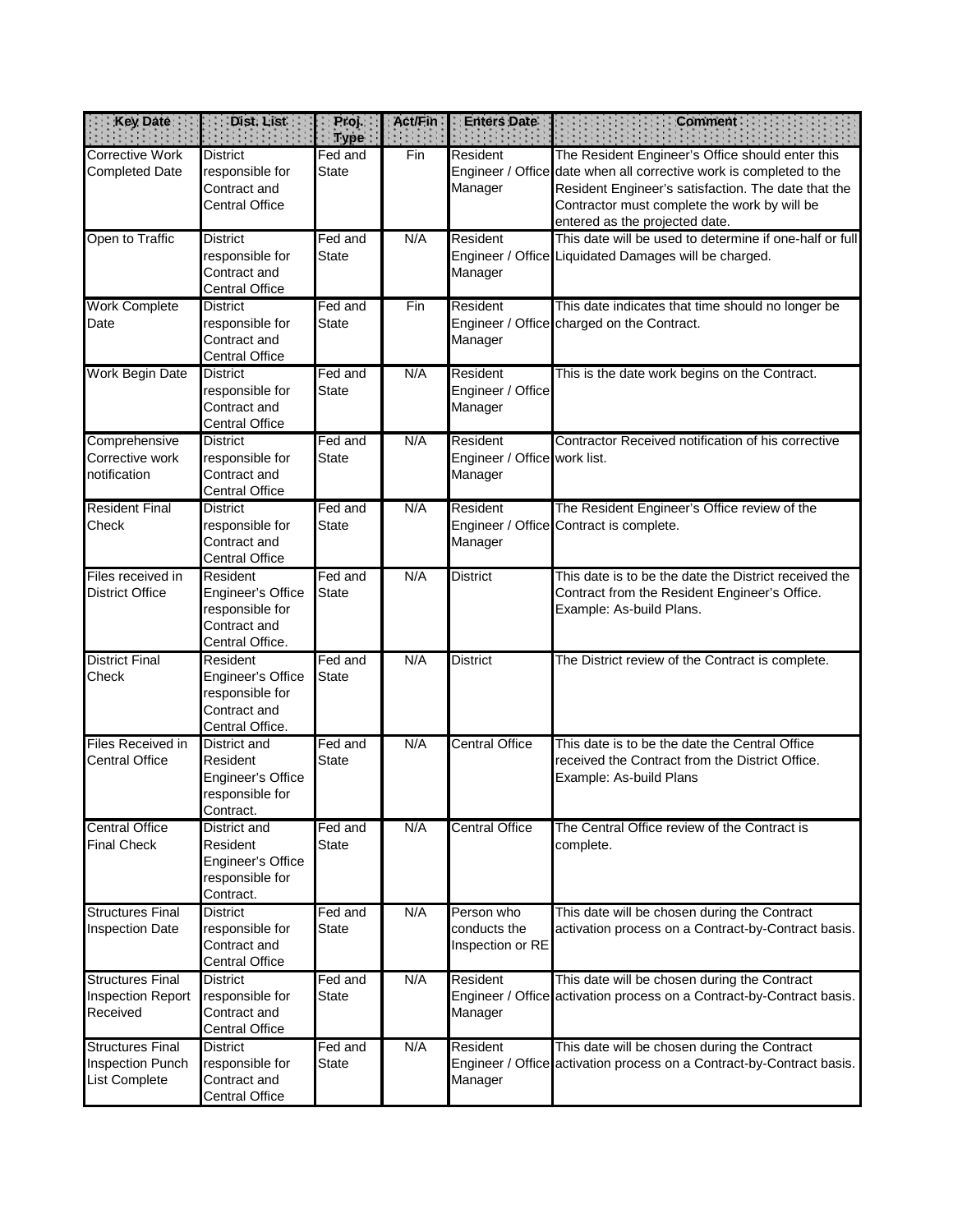| Key Date                                                            | Dist. List                                                                           | Proj.<br><b>Type</b>    | Act/Fin | <b>Enters Date</b>                                  | <b>Comment</b>                                                                                                                                                                                                                                                   |
|---------------------------------------------------------------------|--------------------------------------------------------------------------------------|-------------------------|---------|-----------------------------------------------------|------------------------------------------------------------------------------------------------------------------------------------------------------------------------------------------------------------------------------------------------------------------|
| <b>Corrective Work</b><br><b>Completed Date</b>                     | <b>District</b><br>responsible for<br>Contract and<br><b>Central Office</b>          | Fed and<br><b>State</b> | Fin     | Resident<br>Manager                                 | The Resident Engineer's Office should enter this<br>Engineer / Office date when all corrective work is completed to the<br>Resident Engineer's satisfaction. The date that the<br>Contractor must complete the work by will be<br>entered as the projected date. |
| Open to Traffic                                                     | <b>District</b><br>responsible for<br>Contract and<br><b>Central Office</b>          | Fed and<br><b>State</b> | N/A     | Resident<br>Manager                                 | This date will be used to determine if one-half or full<br>Engineer / Office Liquidated Damages will be charged.                                                                                                                                                 |
| <b>Work Complete</b><br>Date                                        | <b>District</b><br>responsible for<br>Contract and<br><b>Central Office</b>          | Fed and<br><b>State</b> | Fin     | Resident<br>Manager                                 | This date indicates that time should no longer be<br>Engineer / Office charged on the Contract.                                                                                                                                                                  |
| Work Begin Date                                                     | <b>District</b><br>responsible for<br>Contract and<br><b>Central Office</b>          | Fed and<br><b>State</b> | N/A     | Resident<br>Engineer / Office<br>Manager            | This is the date work begins on the Contract.                                                                                                                                                                                                                    |
| Comprehensive<br>Corrective work<br>notification                    | <b>District</b><br>responsible for<br>Contract and<br><b>Central Office</b>          | Fed and<br><b>State</b> | N/A     | Resident<br>Engineer / Office work list.<br>Manager | Contractor Received notification of his corrective                                                                                                                                                                                                               |
| <b>Resident Final</b><br>Check                                      | <b>District</b><br>responsible for<br>Contract and<br><b>Central Office</b>          | Fed and<br><b>State</b> | N/A     | Resident<br>Manager                                 | The Resident Engineer's Office review of the<br>Engineer / Office Contract is complete.                                                                                                                                                                          |
| Files received in<br><b>District Office</b>                         | Resident<br>Engineer's Office<br>responsible for<br>Contract and<br>Central Office.  | Fed and<br><b>State</b> | N/A     | <b>District</b>                                     | This date is to be the date the District received the<br>Contract from the Resident Engineer's Office.<br>Example: As-build Plans.                                                                                                                               |
| <b>District Final</b><br>Check                                      | Resident<br>Engineer's Office<br>responsible for<br>Contract and<br>Central Office.  | Fed and<br><b>State</b> | N/A     | <b>District</b>                                     | The District review of the Contract is complete.                                                                                                                                                                                                                 |
| <b>Files Received in</b><br><b>Central Office</b>                   | <b>District and</b><br>Resident<br>Engineer's Office<br>responsible for<br>Contract. | Fed and<br><b>State</b> | N/A     | <b>Central Office</b>                               | This date is to be the date the Central Office<br>received the Contract from the District Office.<br>Example: As-build Plans                                                                                                                                     |
| <b>Central Office</b><br><b>Final Check</b>                         | District and<br>Resident<br>Engineer's Office<br>responsible for<br>Contract.        | Fed and<br><b>State</b> | N/A     | <b>Central Office</b>                               | The Central Office review of the Contract is<br>complete.                                                                                                                                                                                                        |
| <b>Structures Final</b><br><b>Inspection Date</b>                   | <b>District</b><br>responsible for<br>Contract and<br><b>Central Office</b>          | Fed and<br><b>State</b> | N/A     | Person who<br>conducts the<br>Inspection or RE      | This date will be chosen during the Contract<br>activation process on a Contract-by-Contract basis.                                                                                                                                                              |
| <b>Structures Final</b><br><b>Inspection Report</b><br>Received     | <b>District</b><br>responsible for<br>Contract and<br><b>Central Office</b>          | Fed and<br><b>State</b> | N/A     | Resident<br>Manager                                 | This date will be chosen during the Contract<br>Engineer / Office activation process on a Contract-by-Contract basis.                                                                                                                                            |
| <b>Structures Final</b><br><b>Inspection Punch</b><br>List Complete | <b>District</b><br>responsible for<br>Contract and<br><b>Central Office</b>          | Fed and<br><b>State</b> | N/A     | Resident<br>Manager                                 | This date will be chosen during the Contract<br>Engineer / Office activation process on a Contract-by-Contract basis.                                                                                                                                            |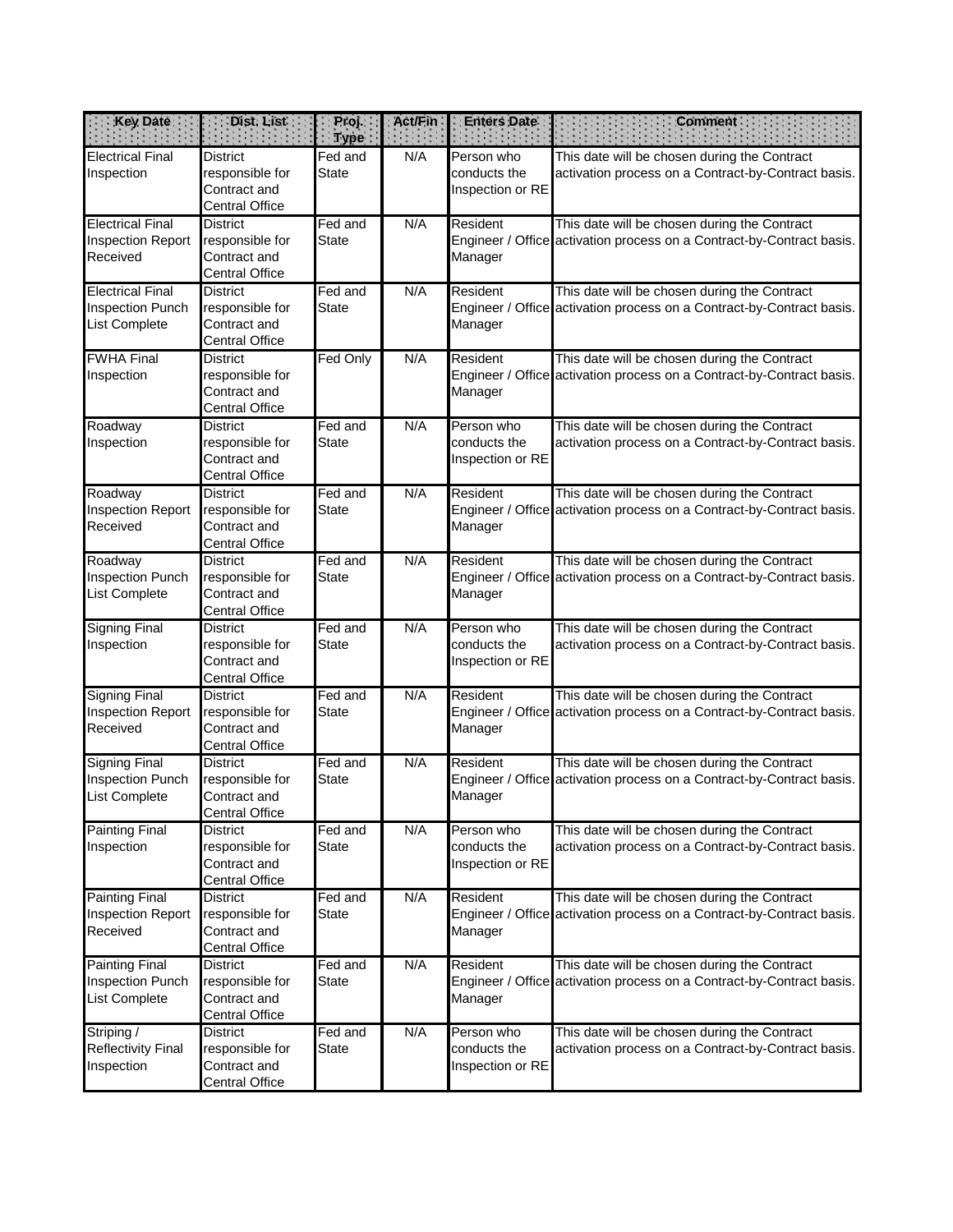| <b>Key Date</b>                                                     | Dist. List                                                                  | Proj.<br><b>Type</b>    | Act/Fin: | <b>Enters Date</b>                             | <b>Comment</b>                                                                                                        |
|---------------------------------------------------------------------|-----------------------------------------------------------------------------|-------------------------|----------|------------------------------------------------|-----------------------------------------------------------------------------------------------------------------------|
| <b>Electrical Final</b><br>Inspection                               | <b>District</b><br>responsible for<br>Contract and<br><b>Central Office</b> | Fed and<br><b>State</b> | N/A      | Person who<br>conducts the<br>Inspection or RE | This date will be chosen during the Contract<br>activation process on a Contract-by-Contract basis.                   |
| <b>Electrical Final</b><br><b>Inspection Report</b><br>Received     | <b>District</b><br>responsible for<br>Contract and<br><b>Central Office</b> | Fed and<br><b>State</b> | N/A      | Resident<br>Manager                            | This date will be chosen during the Contract<br>Engineer / Office activation process on a Contract-by-Contract basis. |
| <b>Electrical Final</b><br><b>Inspection Punch</b><br>List Complete | <b>District</b><br>responsible for<br>Contract and<br><b>Central Office</b> | Fed and<br><b>State</b> | N/A      | Resident<br>Manager                            | This date will be chosen during the Contract<br>Engineer / Office activation process on a Contract-by-Contract basis. |
| <b>FWHA Final</b><br>Inspection                                     | <b>District</b><br>responsible for<br>Contract and<br><b>Central Office</b> | Fed Only                | N/A      | Resident<br>Manager                            | This date will be chosen during the Contract<br>Engineer / Office activation process on a Contract-by-Contract basis. |
| Roadway<br>Inspection                                               | <b>District</b><br>responsible for<br>Contract and<br><b>Central Office</b> | Fed and<br><b>State</b> | N/A      | Person who<br>conducts the<br>Inspection or RE | This date will be chosen during the Contract<br>activation process on a Contract-by-Contract basis.                   |
| Roadway<br><b>Inspection Report</b><br>Received                     | <b>District</b><br>responsible for<br>Contract and<br><b>Central Office</b> | Fed and<br><b>State</b> | N/A      | Resident<br>Manager                            | This date will be chosen during the Contract<br>Engineer / Office activation process on a Contract-by-Contract basis. |
| Roadway<br><b>Inspection Punch</b><br>List Complete                 | <b>District</b><br>responsible for<br>Contract and<br><b>Central Office</b> | Fed and<br><b>State</b> | N/A      | Resident<br>Manager                            | This date will be chosen during the Contract<br>Engineer / Office activation process on a Contract-by-Contract basis. |
| <b>Signing Final</b><br>Inspection                                  | <b>District</b><br>responsible for<br>Contract and<br><b>Central Office</b> | Fed and<br><b>State</b> | N/A      | Person who<br>conducts the<br>Inspection or RE | This date will be chosen during the Contract<br>activation process on a Contract-by-Contract basis.                   |
| <b>Signing Final</b><br><b>Inspection Report</b><br>Received        | <b>District</b><br>responsible for<br>Contract and<br><b>Central Office</b> | Fed and<br><b>State</b> | N/A      | Resident<br>Manager                            | This date will be chosen during the Contract<br>Engineer / Office activation process on a Contract-by-Contract basis. |
| <b>Signing Final</b><br>Inspection Punch<br>List Complete           | <b>District</b><br>responsible for<br>Contract and<br><b>Central Office</b> | Fed and<br><b>State</b> | N/A      | Resident<br>Manager                            | This date will be chosen during the Contract<br>Engineer / Office activation process on a Contract-by-Contract basis. |
| <b>Painting Final</b><br>Inspection                                 | <b>District</b><br>responsible for<br>Contract and<br><b>Central Office</b> | Fed and<br><b>State</b> | N/A      | Person who<br>conducts the<br>Inspection or RE | This date will be chosen during the Contract<br>activation process on a Contract-by-Contract basis.                   |
| <b>Painting Final</b><br><b>Inspection Report</b><br>Received       | <b>District</b><br>responsible for<br>Contract and<br><b>Central Office</b> | Fed and<br><b>State</b> | N/A      | Resident<br>Manager                            | This date will be chosen during the Contract<br>Engineer / Office activation process on a Contract-by-Contract basis. |
| <b>Painting Final</b><br>Inspection Punch<br>List Complete          | <b>District</b><br>responsible for<br>Contract and<br><b>Central Office</b> | Fed and<br><b>State</b> | N/A      | Resident<br>Manager                            | This date will be chosen during the Contract<br>Engineer / Office activation process on a Contract-by-Contract basis. |
| Striping /<br><b>Reflectivity Final</b><br>Inspection               | <b>District</b><br>responsible for<br>Contract and<br><b>Central Office</b> | Fed and<br><b>State</b> | N/A      | Person who<br>conducts the<br>Inspection or RE | This date will be chosen during the Contract<br>activation process on a Contract-by-Contract basis.                   |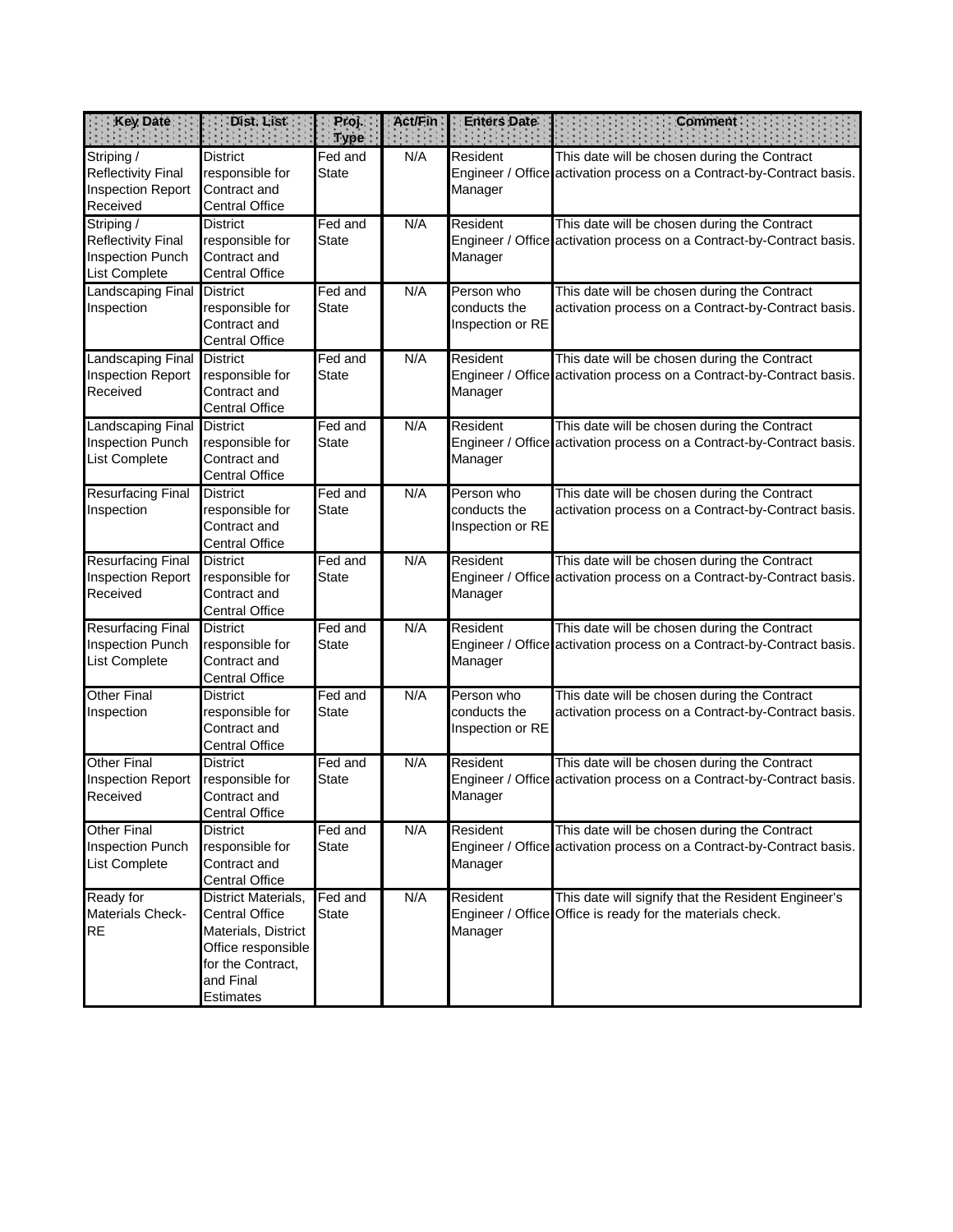| <b>Key Date</b>                                                                 | Dist. List                                                                                                                               | Proj.<br><b>Type</b>    | <b>Act/Fin</b> | <b>Enters Date</b>                             | <b>Comment</b>                                                                                                        |
|---------------------------------------------------------------------------------|------------------------------------------------------------------------------------------------------------------------------------------|-------------------------|----------------|------------------------------------------------|-----------------------------------------------------------------------------------------------------------------------|
| Striping /<br><b>Reflectivity Final</b><br><b>Inspection Report</b><br>Received | <b>District</b><br>responsible for<br>Contract and<br><b>Central Office</b>                                                              | Fed and<br><b>State</b> | N/A            | Resident<br>Manager                            | This date will be chosen during the Contract<br>Engineer / Office activation process on a Contract-by-Contract basis. |
| Striping /<br><b>Reflectivity Final</b><br>Inspection Punch<br>List Complete    | <b>District</b><br>responsible for<br>Contract and<br><b>Central Office</b>                                                              | Fed and<br><b>State</b> | N/A            | Resident<br>Manager                            | This date will be chosen during the Contract<br>Engineer / Office activation process on a Contract-by-Contract basis. |
| Landscaping Final<br>Inspection                                                 | <b>District</b><br>responsible for<br>Contract and<br><b>Central Office</b>                                                              | Fed and<br><b>State</b> | N/A            | Person who<br>conducts the<br>Inspection or RE | This date will be chosen during the Contract<br>activation process on a Contract-by-Contract basis.                   |
| Landscaping Final<br><b>Inspection Report</b><br>Received                       | <b>District</b><br>responsible for<br>Contract and<br><b>Central Office</b>                                                              | Fed and<br><b>State</b> | N/A            | Resident<br>Manager                            | This date will be chosen during the Contract<br>Engineer / Office activation process on a Contract-by-Contract basis. |
| Landscaping Final<br><b>Inspection Punch</b><br><b>List Complete</b>            | <b>District</b><br>responsible for<br>Contract and<br><b>Central Office</b>                                                              | Fed and<br><b>State</b> | N/A            | Resident<br>Manager                            | This date will be chosen during the Contract<br>Engineer / Office activation process on a Contract-by-Contract basis. |
| <b>Resurfacing Final</b><br>Inspection                                          | <b>District</b><br>responsible for<br>Contract and<br><b>Central Office</b>                                                              | Fed and<br><b>State</b> | N/A            | Person who<br>conducts the<br>Inspection or RE | This date will be chosen during the Contract<br>activation process on a Contract-by-Contract basis.                   |
| <b>Resurfacing Final</b><br><b>Inspection Report</b><br>Received                | <b>District</b><br>responsible for<br>Contract and<br><b>Central Office</b>                                                              | Fed and<br><b>State</b> | N/A            | Resident<br>Manager                            | This date will be chosen during the Contract<br>Engineer / Office activation process on a Contract-by-Contract basis. |
| <b>Resurfacing Final</b><br><b>Inspection Punch</b><br>List Complete            | <b>District</b><br>responsible for<br>Contract and<br><b>Central Office</b>                                                              | Fed and<br><b>State</b> | N/A            | Resident<br>Manager                            | This date will be chosen during the Contract<br>Engineer / Office activation process on a Contract-by-Contract basis. |
| <b>Other Final</b><br>Inspection                                                | <b>District</b><br>responsible for<br>Contract and<br><b>Central Office</b>                                                              | Fed and<br><b>State</b> | N/A            | Person who<br>conducts the<br>Inspection or RE | This date will be chosen during the Contract<br>activation process on a Contract-by-Contract basis.                   |
| <b>Other Final</b><br><b>Inspection Report</b><br>Received                      | <b>District</b><br>responsible for<br>Contract and<br><b>Central Office</b>                                                              | Fed and<br><b>State</b> | N/A            | Resident<br>Manager                            | This date will be chosen during the Contract<br>Engineer / Office activation process on a Contract-by-Contract basis. |
| <b>Other Final</b><br><b>Inspection Punch</b><br>List Complete                  | <b>District</b><br>responsible for<br>Contract and<br><b>Central Office</b>                                                              | Fed and<br><b>State</b> | N/A            | Resident<br>Manager                            | This date will be chosen during the Contract<br>Engineer / Office activation process on a Contract-by-Contract basis. |
| Ready for<br>Materials Check-<br><b>RE</b>                                      | District Materials,<br><b>Central Office</b><br>Materials, District<br>Office responsible<br>for the Contract,<br>and Final<br>Estimates | Fed and<br><b>State</b> | N/A            | Resident<br>Manager                            | This date will signify that the Resident Engineer's<br>Engineer / Office Office is ready for the materials check.     |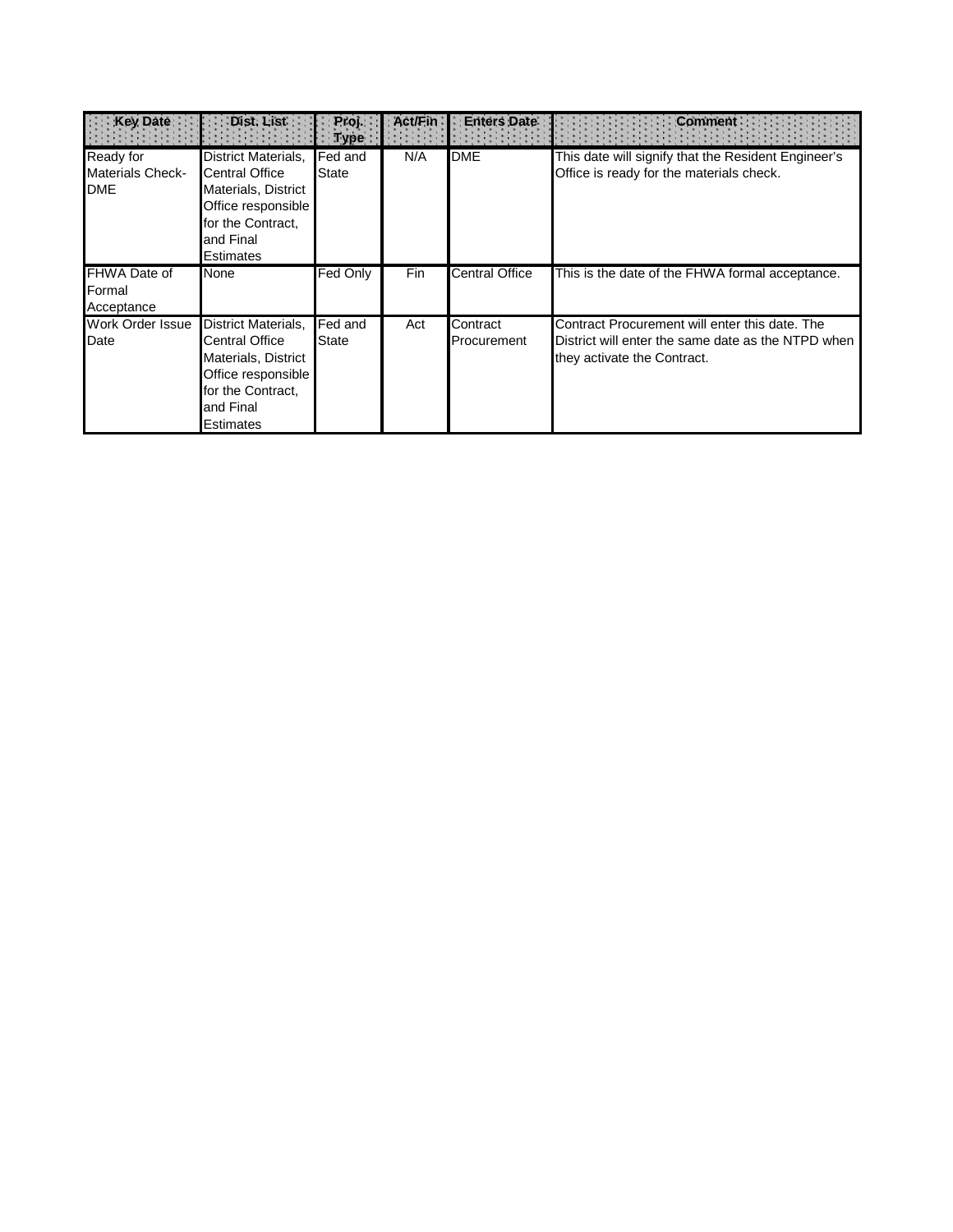| Key Date                                           | Dist. List                                                                                                                                      | Proj.<br>Type           | <b>Act/Fin</b> | <b>Enters Date</b>             | <b>Comment</b>                                                                                                                      |
|----------------------------------------------------|-------------------------------------------------------------------------------------------------------------------------------------------------|-------------------------|----------------|--------------------------------|-------------------------------------------------------------------------------------------------------------------------------------|
| Ready for<br><b>Materials Check-</b><br><b>DME</b> | District Materials,<br><b>Central Office</b><br>Materials, District<br>Office responsible<br>for the Contract,<br>and Final<br>Estimates        | Fed and<br><b>State</b> | N/A            | <b>DME</b>                     | This date will signify that the Resident Engineer's<br>Office is ready for the materials check.                                     |
| FHWA Date of<br>Formal<br>Acceptance               | None                                                                                                                                            | Fed Only                | Fin            | <b>Central Office</b>          | This is the date of the FHWA formal acceptance.                                                                                     |
| Work Order Issue<br>Date                           | District Materials,<br><b>Central Office</b><br>Materials, District<br>Office responsible<br>for the Contract,<br>and Final<br><b>Estimates</b> | Fed and<br>State        | Act            | Contract<br><b>Procurement</b> | Contract Procurement will enter this date. The<br>District will enter the same date as the NTPD when<br>they activate the Contract. |